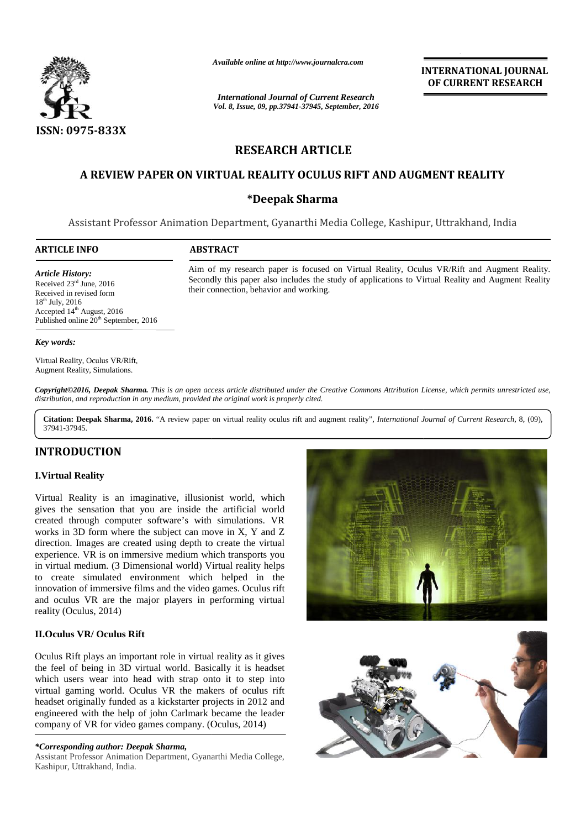

*Available online at http://www.journalcra.com*

*International Journal of Current Research Vol. 8, Issue, 09, pp.37941-37945, September, 2016* **INTERNATIONAL JOURNAL OF CURRENT RESEARCH**

# **RESEARCH ARTICLE RESEARCH**

# **A REVIEW PAPER ON VIRTUAL REALITY OCULUS RIFT AND AUGMENT REALITY PAPER ON Sharma**

### **\*Deepak Sharma**

Assistant Professor Animation Department, Gyanarthi Media College, Kashipur, Uttrakhand, India Professor Animation

their connection, behavior and working.

#### **ARTICLE INFO ABSTRACT ARTICLE INFO**

*Article History:* Received 23<sup>rd</sup> June, 2016<br>Received in revised form Received in revised form 18<sup>th</sup> July, 2016 Accepted 14 th August, 2016 Published online 20<sup>th</sup> September, 2016

#### *Key words:*

Augment Reality, Simulations.

Published online 20<sup>th</sup> September, 201<br>**Key words:**<br>Virtual Reality, Oculus VR/Rift,

Aim of my research paper is focused on Virtual Reality, Oculus VR/Rift Secondly this paper also includes the study of applications to Virtual Reality their connection, behavior and working.

Aim of my research paper is focused on Virtual Reality, Oculus VR/Rift and Augment Reality. Secondly this paper also includes the study of applications to Virtual Reality and Augment Reality

**Copyright©2016, Deepak Sharma.** This is an open access article distributed under the Creative Commons Attribution License, which permits unrestricted use,<br>distribution, and reproduction in any medium, provided the origina *distribution, and reproduction in any medium, provided the original work is properly cited.* pyright©2016, Deepak Sharma. This is an open access article distributed under the Creative Commons Attribution License, which permits unrestricted use,<br>tribution, and reproduction in any medium, provided the original work

37941-37945.

## **INTRODUCTION INTRODUCTION**

#### **I.Virtual Reality I.Virtual**

Virtual Reality is an imaginative, illusionist world, which Virtual Reality is an imaginative, illusionist world, which gives the sensation that you are inside the artificial world created through computer software's with simulations. VR works in 3D form where the subject can move in X, Y and Z works in 3D form where the subject can move in X, Y and Z direction. Images are created using depth to create the virtual experience. VR is on immersive medium which transports you in virtual medium. (3 Dimensional world) Virtual reality helps to create simulated environment which helped in the innovation of immersive films and the video games. Oculus rift and oculus VR are the major players in performing virtual reality (Oculus, 2014) realityexperience. VR is on immersive medium which transports you<br>in virtual medium. (3 Dimensional world) Virtual reality helps<br>to create simulated environment which helped in the<br>innovation of immersive films and the video game medium.

#### **II.Oculus VR/ Oculus Rift II.Oculus**

Oculus Rift plays an important role in virtual reality as it gives Oculus Rift plays an important role in virtual reality as it gives<br>the feel of being in 3D virtual world. Basically it is headset which users wear into head with strap onto it to step into which users wear into head with strap onto it to step into virtual gaming world. Oculus VR the makers of oculus rift headset originally funded as a kickstarter projects in 2012 and engineered with the help of john Carlmark became the leader company of VR for video games company. (Oculus, 2014) headset originally funded as a kickstarter projects in 2012<br>engineered with the help of john Carlmark became the lea<br>company of VR for video games company. (Oculus, 2014)

#### *\*Corresponding author: Deepak Sharma, \*Corresponding*

Assistant Professor Animation Department, Gyanarthi Media College, Kashipur, Uttrakhand, India.



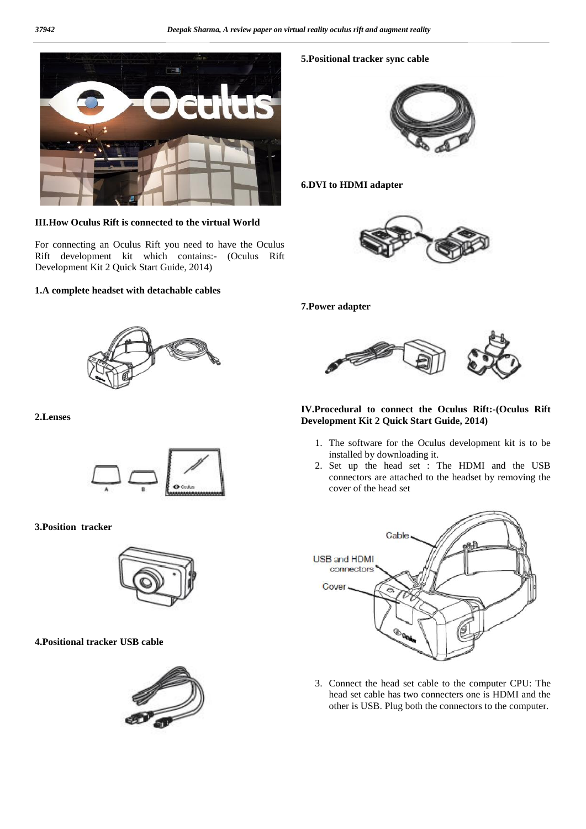

**III.How Oculus Rift is connected to the virtual World**

For connecting an Oculus Rift you need to have the Oculus Rift development kit which contains:- (Oculus Rift Development Kit 2 Quick Start Guide, 2014)

#### **1.A complete headset with detachable cables**



#### **2.Lenses**



#### **3.Position tracker**



#### **4.Positional tracker USB cable**



#### **5.Positional tracker sync cable**



#### **6.DVI to HDMI adapter**



#### **7.Power adapter**



#### **IV.Procedural to connect the Oculus Rift:-(Oculus Rift Development Kit 2 Quick Start Guide, 2014)**

- 1. The software for the Oculus development kit is to be installed by downloading it.
- 2. Set up the head set : The HDMI and the USB connectors are attached to the headset by removing the cover of the head set



3. Connect the head set cable to the computer CPU: The head set cable has two connecters one is HDMI and the other is USB. Plug both the connectors to the computer.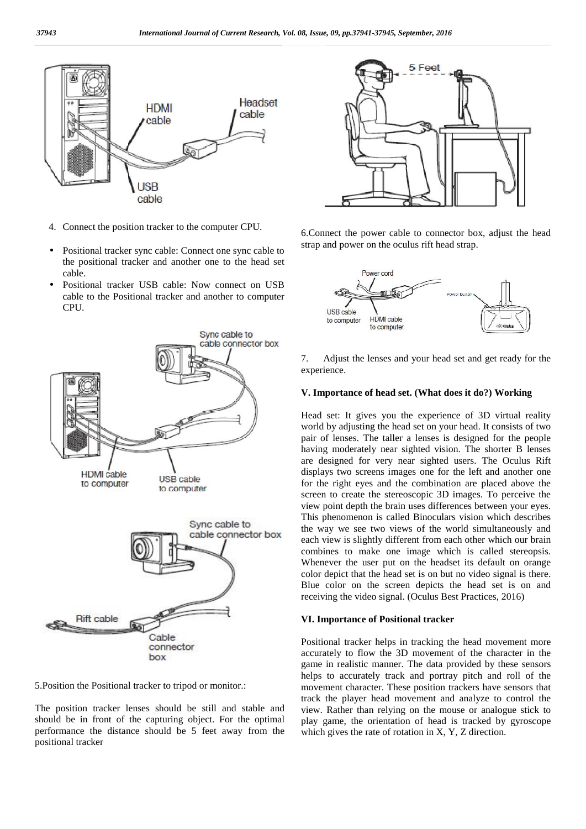

- 4. Connect the position tracker to the computer CPU.
- Positional tracker sync cable: Connect one sync cable to the positional tracker and another one to the head set cable.
- Positional tracker USB cable: Now connect on USB cable to the Positional tracker and another to computer CPU.



5.Position the Positional tracker to tripod or monitor.:

The position tracker lenses should be still and stable and should be in front of the capturing object. For the optimal performance the distance should be 5 feet away from the positional tracker



6.Connect the power cable to connector box, adjust the head strap and power on the oculus rift head strap.



7. Adjust the lenses and your head set and get ready for the experience.

#### **V. Importance of head set. (What does it do?) Working**

Head set: It gives you the experience of 3D virtual reality world by adjusting the head set on your head. It consists of two pair of lenses. The taller a lenses is designed for the people having moderately near sighted vision. The shorter B lenses are designed for very near sighted users. The Oculus Rift displays two screens images one for the left and another one for the right eyes and the combination are placed above the screen to create the stereoscopic 3D images. To perceive the view point depth the brain uses differences between your eyes. This phenomenon is called Binoculars vision which describes the way we see two views of the world simultaneously and each view is slightly different from each other which our brain combines to make one image which is called stereopsis. Whenever the user put on the headset its default on orange color depict that the head set is on but no video signal is there. Blue color on the screen depicts the head set is on and receiving the video signal. (Oculus Best Practices, 2016)

#### **VI. Importance of Positional tracker**

Positional tracker helps in tracking the head movement more accurately to flow the 3D movement of the character in the game in realistic manner. The data provided by these sensors helps to accurately track and portray pitch and roll of the movement character. These position trackers have sensors that track the player head movement and analyze to control the view. Rather than relying on the mouse or analogue stick to play game, the orientation of head is tracked by gyroscope which gives the rate of rotation in X, Y, Z direction.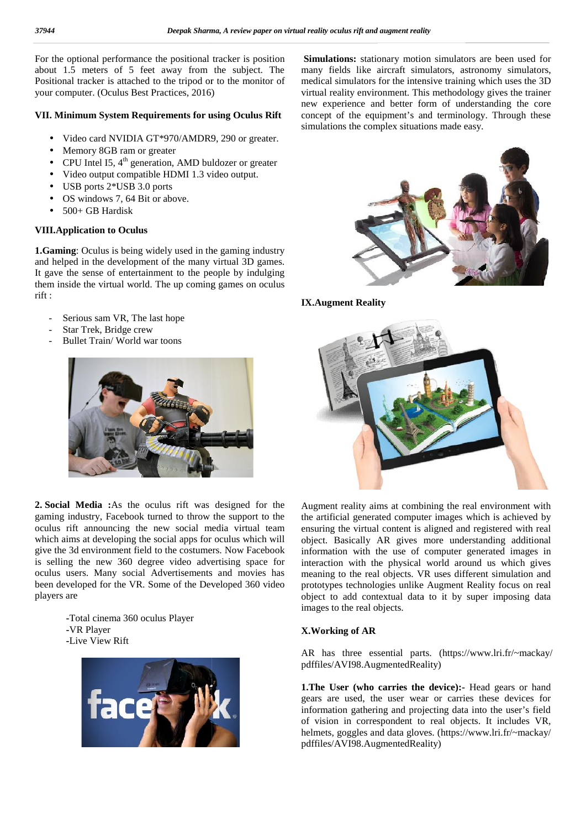For the optional performance the positional tracker is position For the optional performance the positional tracker is position Sin<br>about 1.5 meters of 5 feet away from the subject. The mar Positional tracker is attached to the tripod or to the monitor of m<br>your computer. (Oculus Best Practices, 2016) vi your computer. (Oculus Best Practices, 2016)

#### **VII.** Minimum System Requirements for using Oculus Rift compared

- Video card NVIDIA GT\*970/AMDR9, 290 or greater.
- Memory 8GB ram or greater
- CPU Intel I5,  $4<sup>th</sup>$  generation, AMD buldozer or greater
- Video output compatible HDMI 1.3 video output.
- USB ports 2\*USB 3.0 ports
- OS windows 7, 64 Bit or above. J Intel I5, 4<sup>th</sup> generation,<br>eo output compatible HD<br>3 ports 2\*USB 3.0 ports<br>windows 7, 64 Bit or abo
- 500+ GB Hardisk

#### **VIII.Application to Oculus VIII.Application**

**1.Gaming**: Oculus is being widely used in the gaming industry and helped in the development of the many virtual 3D games. and helped in the development of the many virtual 3D games. It gave the sense of entertainment to the people by indulging them inside the virtual world. The up coming games on oculus rift : It gave the sense of entertainment to the peo<br>them inside the virtual world. The up coming<br>rift :<br>Serious sam VR, The last hope<br>Star Trek, Bridge crew

- Serious sam VR, The last hope
- Star Trek, Bridge crew
- Bullet Train/World war toons



**2. Social Media :**As the oculus rift was designed for the gaming industry, Facebook turned to throw the support to the oculus rift announcing the new social media virtual team which aims at developing the social apps for oculus which will give the 3d environment field to the costumers. Now Facebook is selling the new 360 degree video advertising space for oculus users. Many social Advertisements and movies has been developed for the VR. Some of the Developed 360 video players are

> **-**Total cinema 360 oculus Player **-**VR Player **-**Live View Rift



**Simulations:** stationary motion simulators are been used for many fields like aircraft simulators, astronomy simulators, medical simulators for the intensive training which uses the 3D virtual reality environment. This methodology gives the trainer new experience and better form of understanding the core concept of the equipment's and terminology. Through these simulations the complex situations made easy.



**IX.Augment Reality**



Augment reality aims at combining the real environment with the artificial generated computer images which is achieved by ensuring the virtual content is aligned and registered with real object. Basically AR gives more understanding additional information with the use of computer generated images in interaction with the physical world around us which gives meaning to the real objects. VR uses different simulation and prototypes technologies unlike Augment Reality focus on real object to add contextual data to it by super imposing data images to the real objects. ensuring the virtual content is aligned and registered with r object. Basically AR gives more understanding additio information with the use of computer generated images interaction with the physical world around us which

#### **X.Working of AR**

AR has three essential parts. (https://www.lri.fr/~mackay/ pdffiles/AVI98.AugmentedReality)

**1. The User (who carries the device):** Head gears or hand gears are used, the user wear or carries these devices for information gathering and projecting data into the user's field of vision in correspondent to real objects. It includes VR, helmets, goggles and data gloves. (https://www.lri.fr/~mackay/ pdffiles/AVI98.AugmentedReality) **X.Working of AR**<br>AR has three essential parts. (https://www.lri.fr/~ma<br>pdffiles/AVI98.AugmentedReality)<br>**1.The User (who carries the device):-** Head gears or<br>gears are used, the user wear or carries these device